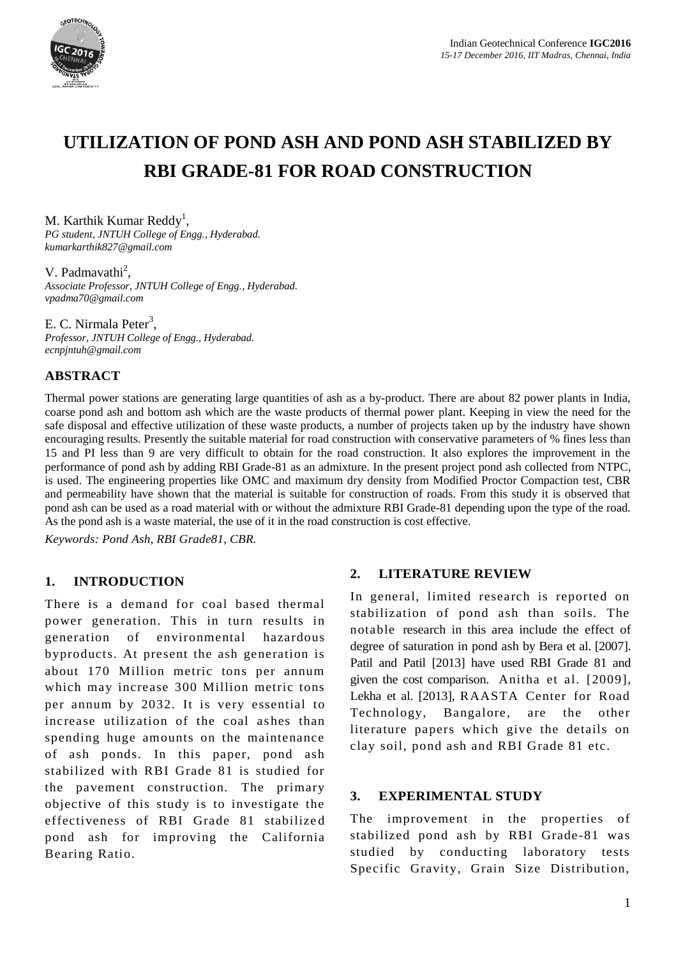

# **UTILIZATION OF POND ASH AND POND ASH STABILIZED BY RBI GRADE-81 FOR ROAD CONSTRUCTION**

M. Karthik Kumar Reddy<sup>1</sup>,

*PG student, JNTUH College of Engg., Hyderabad. kumarkarthik827@gmail.com*

V. Padmavathi<sup>2</sup>,

*Associate Professor, JNTUH College of Engg., Hyderabad. vpadma70@gmail.com*

E. C. Nirmala Peter<sup>3</sup>, *Professor, JNTUH College of Engg., Hyderabad. ecnpjntuh@gmail.com*

### **ABSTRACT**

Thermal power stations are generating large quantities of ash as a by-product. There are about 82 power plants in India, coarse pond ash and bottom ash which are the waste products of thermal power plant. Keeping in view the need for the safe disposal and effective utilization of these waste products, a number of projects taken up by the industry have shown encouraging results. Presently the suitable material for road construction with conservative parameters of % fines less than 15 and PI less than 9 are very difficult to obtain for the road construction. It also explores the improvement in the performance of pond ash by adding RBI Grade-81 as an admixture. In the present project pond ash collected from NTPC, is used. The engineering properties like OMC and maximum dry density from Modified Proctor Compaction test, CBR and permeability have shown that the material is suitable for construction of roads. From this study it is observed that pond ash can be used as a road material with or without the admixture RBI Grade-81 depending upon the type of the road. As the pond ash is a waste material, the use of it in the road construction is cost effective.

*Keywords: Pond Ash, RBI Grade81, CBR.*

#### **1. INTRODUCTION**

There is a demand for coal based thermal power generation. This in turn results in generation of environmental hazardous byproducts. At present the ash generation is about 170 Million metric tons per annum which may increase 300 Million metric tons per annum by 2032. It is very essential to increase utilization of the coal ashes than spending huge amounts on the maintenance of ash ponds. In this paper, pond ash stabilized with RBI Grade 81 is studied for the pavement construction. The primary objective of this study is to investigate the effectiveness of RBI Grade 81 stabilize d pond ash for improving the California Bearing Ratio.

#### **2. LITERATURE REVIEW**

In general, limited research is reported on stabilization of pond ash than soils. The notable research in this area include the effect of degree of saturation in pond ash by Bera et al. [2007]. Patil and Patil [2013] have used RBI Grade 81 and given the cost comparison. Anitha et al. [2009], Lekha et al. [2013], RAASTA Center for Road Technology, Bangalore, are the other literature papers which give the details on clay soil, pond ash and RBI Grade 81 etc.

#### **3. EXPERIMENTAL STUDY**

The improvement in the properties of stabilized pond ash by RBI Grade-81 was studied by conducting laboratory tests Specific Gravity, Grain Size Distribution,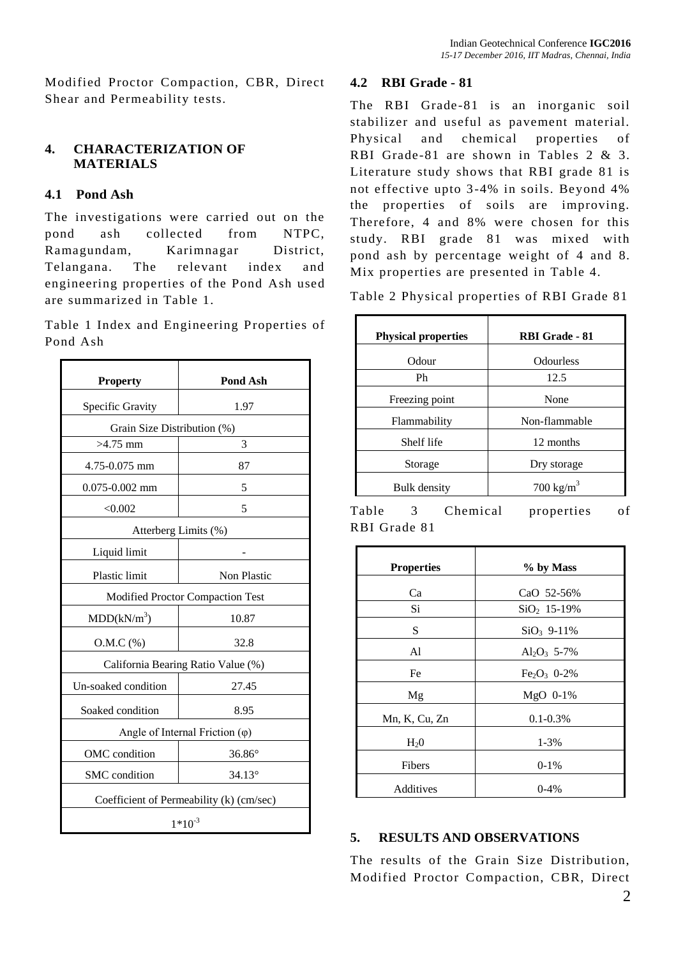Modified Proctor Compaction, CBR, Direct Shear and Permeability tests.

## **4. CHARACTERIZATION OF MATERIALS**

# **4.1 Pond Ash**

The investigations were carried out on the pond ash collected from NTPC, Ramagundam, Karimnagar District, Telangana. The relevant index and engineering properties of the Pond Ash used are summarized in Table 1.

Table 1 Index and Engineering Properties of Pond Ash

| <b>Property</b>                          | <b>Pond Ash</b> |  |
|------------------------------------------|-----------------|--|
| Specific Gravity                         | 1.97            |  |
| Grain Size Distribution (%)              |                 |  |
| $>4.75$ mm                               | 3               |  |
| 4.75-0.075 mm                            | 87              |  |
| $0.075 - 0.002$ mm                       | 5               |  |
| < 0.002                                  | 5               |  |
| Atterberg Limits (%)                     |                 |  |
| Liquid limit                             |                 |  |
| <b>Plastic limit</b>                     | Non Plastic     |  |
| Modified Proctor Compaction Test         |                 |  |
| MDD(kN/m <sup>3</sup> )                  | 10.87           |  |
| $O.M.C.$ (%)                             | 32.8            |  |
| California Bearing Ratio Value (%)       |                 |  |
| Un-soaked condition                      | 27.45           |  |
| Soaked condition                         | 8.95            |  |
| Angle of Internal Friction $(\varphi)$   |                 |  |
| OMC condition                            | $36.86^\circ$   |  |
| SMC condition                            | $34.13^{\circ}$ |  |
| Coefficient of Permeability (k) (cm/sec) |                 |  |
| $1*10^{-3}$                              |                 |  |

# **4.2 RBI Grade - 81**

The RBI Grade-81 is an inorganic soil stabilizer and useful as pavement material. Physical and chemical properties of RBI Grade-81 are shown in Tables 2 & 3. Literature study shows that RBI grade 81 is not effective upto 3-4% in soils. Beyond 4% the properties of soils are improving. Therefore, 4 and 8% were chosen for this study. RBI grade 81 was mixed with pond ash by percentage weight of 4 and 8. Mix properties are presented in Table 4.

Table 2 Physical properties of RBI Grade 81

| <b>Physical properties</b> | RBI Grade - 81       |  |
|----------------------------|----------------------|--|
| Odour                      | <b>Odourless</b>     |  |
| Ph                         | 12.5                 |  |
| Freezing point             | None                 |  |
| Flammability               | Non-flammable        |  |
| Shelf life                 | 12 months            |  |
| Storage                    | Dry storage          |  |
| <b>Bulk density</b>        | $700 \text{ kg/m}^3$ |  |

Table 3 Chemical properties of RBI Grade 81

| <b>Properties</b> | % by Mass        |  |  |
|-------------------|------------------|--|--|
| Ca                | CaO 52-56%       |  |  |
| Si                | $SiO_2$ , 15-19% |  |  |
| S                 | $SiO_3$ 9-11%    |  |  |
| A1                | $Al_2O_3$ 5-7%   |  |  |
| Fe                | $Fe_2O_3$ 0-2%   |  |  |
| Mg                | MgO 0-1%         |  |  |
| Mn, K, Cu, Zn     | $0.1 - 0.3\%$    |  |  |
| H <sub>2</sub> 0  | $1 - 3%$         |  |  |
| Fibers            | $0-1%$           |  |  |
| Additives         | $0-4%$           |  |  |

# **5. RESULTS AND OBSERVATIONS**

The results of the Grain Size Distribution, Modified Proctor Compaction, CBR, Direct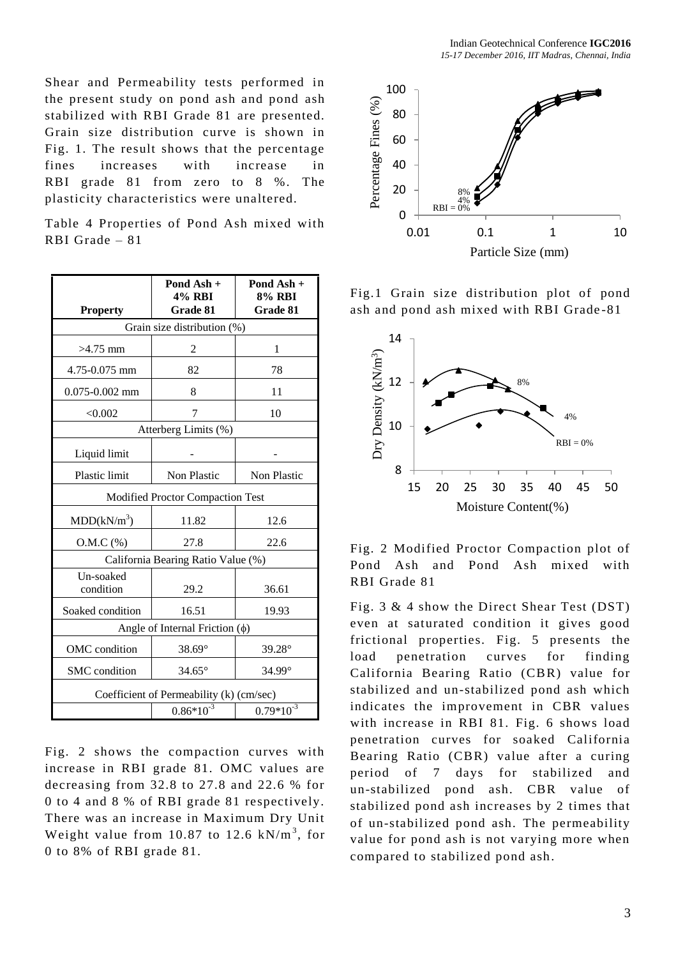Shear and Permeability tests performed in the present study on pond ash and pond ash stabilized with RBI Grade 81 are presented. Grain size distribution curve is shown in Fig. 1. The result shows that the percentage fines increases with increase in RBI grade 81 from zero to 8 %. The plasticity characteristics were unaltered.

Table 4 Properties of Pond Ash mixed with RBI Grade – 81

| <b>Property</b>                          | Pond Ash +<br><b>4% RBI</b><br>Grade 81 | Pond Ash +<br>8% RBI<br>Grade 81 |  |  |
|------------------------------------------|-----------------------------------------|----------------------------------|--|--|
| Grain size distribution (%)              |                                         |                                  |  |  |
| $>4.75$ mm                               | 2                                       | 1                                |  |  |
| 4.75-0.075 mm                            | 82                                      | 78                               |  |  |
| $0.075 - 0.002$ mm                       | 8                                       | 11                               |  |  |
| < 0.002                                  | 7                                       | 10                               |  |  |
| Atterberg Limits (%)                     |                                         |                                  |  |  |
| Liquid limit                             |                                         |                                  |  |  |
| Plastic limit                            | Non Plastic                             | Non Plastic                      |  |  |
| Modified Proctor Compaction Test         |                                         |                                  |  |  |
| MDD(kN/m <sup>3</sup> )                  | 11.82                                   | 12.6                             |  |  |
| $O.M.C.$ (%)                             | 27.8                                    | 22.6                             |  |  |
| California Bearing Ratio Value (%)       |                                         |                                  |  |  |
| Un-soaked<br>condition                   | 29.2                                    | 36.61                            |  |  |
| Soaked condition                         | 16.51                                   | 19.93                            |  |  |
| Angle of Internal Friction $(\phi)$      |                                         |                                  |  |  |
| OMC condition                            | 38.69°                                  | $39.28^\circ$                    |  |  |
| SMC condition                            | $34.65^\circ$                           | 34.99°                           |  |  |
| Coefficient of Permeability (k) (cm/sec) |                                         |                                  |  |  |
|                                          | $0.86*10^{-3}$                          | $0.79*10^{-3}$                   |  |  |

Fig. 2 shows the compaction curves with increase in RBI grade 81. OMC values are decreasing from 32.8 to 27.8 and 22.6 % for 0 to 4 and 8 % of RBI grade 81 respectively. There was an increase in Maximum Dry Unit Weight value from 10.87 to 12.6  $kN/m^3$ , for 0 to 8% of RBI grade 81.



Fig.1 Grain size distribution plot of pond ash and pond ash mixed with RBI Grade -81



Fig. 2 Modified Proctor Compaction plot of Pond Ash and Pond Ash mixed with RBI Grade 81

Fig. 3 & 4 show the Direct Shear Test (DST) even at saturated condition it gives good frictional properties. Fig. 5 presents the load penetration curves for finding California Bearing Ratio (CBR) value for stabilized and un-stabilized pond ash which indicates the improvement in CBR values with increase in RBI 81. Fig. 6 shows load penetration curves for soaked California Bearing Ratio (CBR) value after a curing period of 7 days for stabilized and un-stabilized pond ash. CBR value of stabilized pond ash increases by 2 times that of un-stabilized pond ash. The permeability value for pond ash is not varying more when compared to stabilized pond ash.